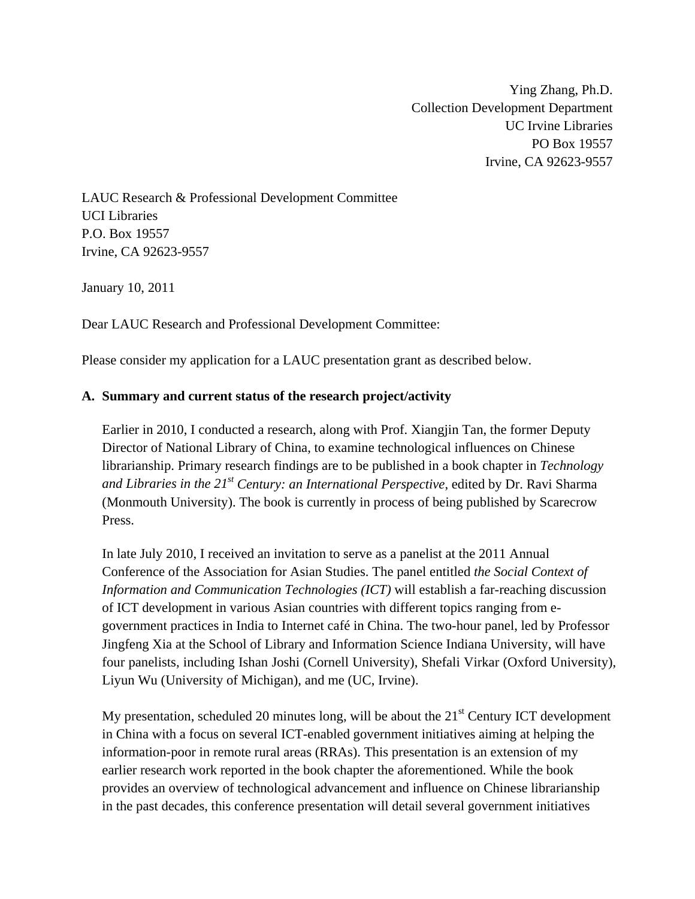Ying Zhang, Ph.D. Collection Development Department UC Irvine Libraries PO Box 19557 Irvine, CA 92623-9557

LAUC Research & Professional Development Committee UCI Libraries P.O. Box 19557 Irvine, CA 92623-9557

January 10, 2011

Dear LAUC Research and Professional Development Committee:

Please consider my application for a LAUC presentation grant as described below.

### **A. Summary and current status of the research project/activity**

Earlier in 2010, I conducted a research, along with Prof. Xiangjin Tan, the former Deputy Director of National Library of China, to examine technological influences on Chinese librarianship. Primary research findings are to be published in a book chapter in *Technology and Libraries in the 21st Century: an International Perspective*, edited by Dr. Ravi Sharma (Monmouth University). The book is currently in process of being published by Scarecrow Press.

In late July 2010, I received an invitation to serve as a panelist at the 2011 Annual Conference of the Association for Asian Studies. The panel entitled *the Social Context of Information and Communication Technologies (ICT)* will establish a far-reaching discussion of ICT development in various Asian countries with different topics ranging from egovernment practices in India to Internet café in China. The two-hour panel, led by Professor Jingfeng Xia at the School of Library and Information Science Indiana University, will have four panelists, including Ishan Joshi (Cornell University), Shefali Virkar (Oxford University), Liyun Wu (University of Michigan), and me (UC, Irvine).

My presentation, scheduled 20 minutes long, will be about the  $21<sup>st</sup>$  Century ICT development in China with a focus on several ICT-enabled government initiatives aiming at helping the information-poor in remote rural areas (RRAs). This presentation is an extension of my earlier research work reported in the book chapter the aforementioned. While the book provides an overview of technological advancement and influence on Chinese librarianship in the past decades, this conference presentation will detail several government initiatives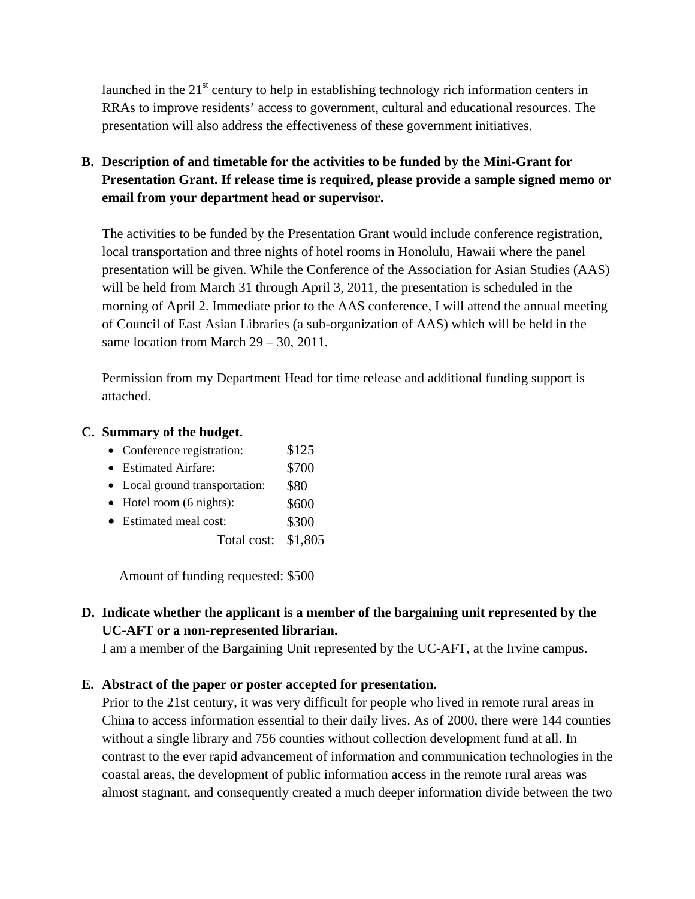launched in the  $21<sup>st</sup>$  century to help in establishing technology rich information centers in RRAs to improve residents' access to government, cultural and educational resources. The presentation will also address the effectiveness of these government initiatives.

# **B. Description of and timetable for the activities to be funded by the Mini-Grant for Presentation Grant. If release time is required, please provide a sample signed memo or email from your department head or supervisor.**

The activities to be funded by the Presentation Grant would include conference registration, local transportation and three nights of hotel rooms in Honolulu, Hawaii where the panel presentation will be given. While the Conference of the Association for Asian Studies (AAS) will be held from March 31 through April 3, 2011, the presentation is scheduled in the morning of April 2. Immediate prior to the AAS conference, I will attend the annual meeting of Council of East Asian Libraries (a sub-organization of AAS) which will be held in the same location from March  $29 - 30$ , 2011.

Permission from my Department Head for time release and additional funding support is attached.

#### **C. Summary of the budget.**

- Conference registration: \$125
- Estimated Airfare: \$700
- Local ground transportation: \$80
- $\bullet$  Hotel room (6 nights): \$600
- Estimated meal cost: \$300
	- Total cost: \$1,805

Amount of funding requested: \$500

# **D. Indicate whether the applicant is a member of the bargaining unit represented by the UC-AFT or a non-represented librarian.**

I am a member of the Bargaining Unit represented by the UC-AFT, at the Irvine campus.

### **E. Abstract of the paper or poster accepted for presentation.**

Prior to the 21st century, it was very difficult for people who lived in remote rural areas in China to access information essential to their daily lives. As of 2000, there were 144 counties without a single library and 756 counties without collection development fund at all. In contrast to the ever rapid advancement of information and communication technologies in the coastal areas, the development of public information access in the remote rural areas was almost stagnant, and consequently created a much deeper information divide between the two